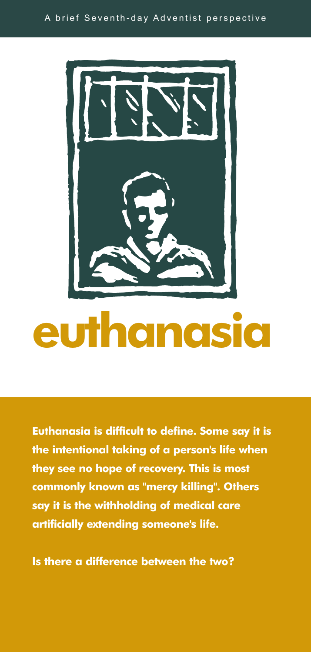

## **euthanasia**

**Euthanasia is difficult to define. Some say it is the intentional taking of a person's life when they see no hope of recovery. This is most commonly known as "mercy killing". Others say it is the withholding of medical care artificially extending someone's life.**

**Is there a difference between the two?**